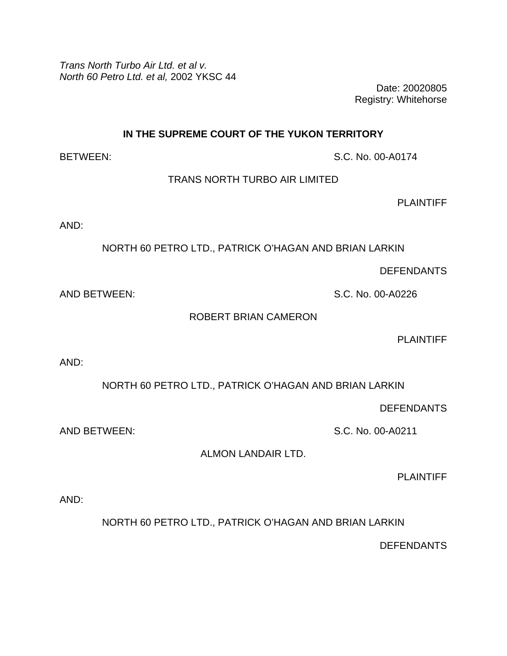*Trans North Turbo Air Ltd. et al v. North 60 Petro Ltd. et al,* 2002 YKSC 44

Date: 20020805 Registry: Whitehorse

**IN THE SUPREME COURT OF THE YUKON TERRITORY** 

BETWEEN: S.C. No. 00-A0174

TRANS NORTH TURBO AIR LIMITED

**PLAINTIFF** 

AND:

NORTH 60 PETRO LTD., PATRICK O'HAGAN AND BRIAN LARKIN

**DEFENDANTS** 

AND BETWEEN: S.C. No. 00-A0226

ROBERT BRIAN CAMERON

PI AINTIFF

AND:

NORTH 60 PETRO LTD., PATRICK O'HAGAN AND BRIAN LARKIN

**DEFENDANTS** 

AND BETWEEN: S.C. No. 00-A0211

ALMON LANDAIR LTD.

PLAINTIFF

AND:

NORTH 60 PETRO LTD., PATRICK O'HAGAN AND BRIAN LARKIN

**DEFENDANTS**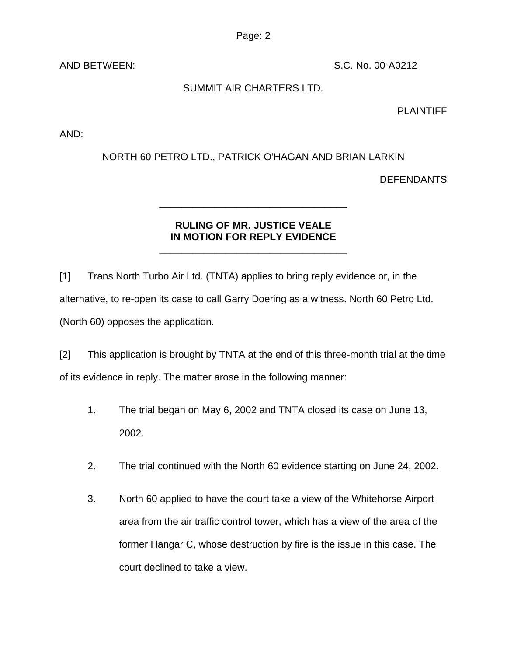Page: 2

AND BETWEEN: S.C. No. 00-A0212

## SUMMIT AIR CHARTERS LTD.

## PLAINTIFF

AND:

## NORTH 60 PETRO LTD., PATRICK O'HAGAN AND BRIAN LARKIN

**DEFENDANTS** 

## **RULING OF MR. JUSTICE VEALE IN MOTION FOR REPLY EVIDENCE**

\_\_\_\_\_\_\_\_\_\_\_\_\_\_\_\_\_\_\_\_\_\_\_\_\_\_\_\_\_\_\_\_\_\_

\_\_\_\_\_\_\_\_\_\_\_\_\_\_\_\_\_\_\_\_\_\_\_\_\_\_\_\_\_\_\_\_\_\_

[1] Trans North Turbo Air Ltd. (TNTA) applies to bring reply evidence or, in the alternative, to re-open its case to call Garry Doering as a witness. North 60 Petro Ltd. (North 60) opposes the application.

[2] This application is brought by TNTA at the end of this three-month trial at the time of its evidence in reply. The matter arose in the following manner:

- 1. The trial began on May 6, 2002 and TNTA closed its case on June 13, 2002.
- 2. The trial continued with the North 60 evidence starting on June 24, 2002.
- 3. North 60 applied to have the court take a view of the Whitehorse Airport area from the air traffic control tower, which has a view of the area of the former Hangar C, whose destruction by fire is the issue in this case. The court declined to take a view.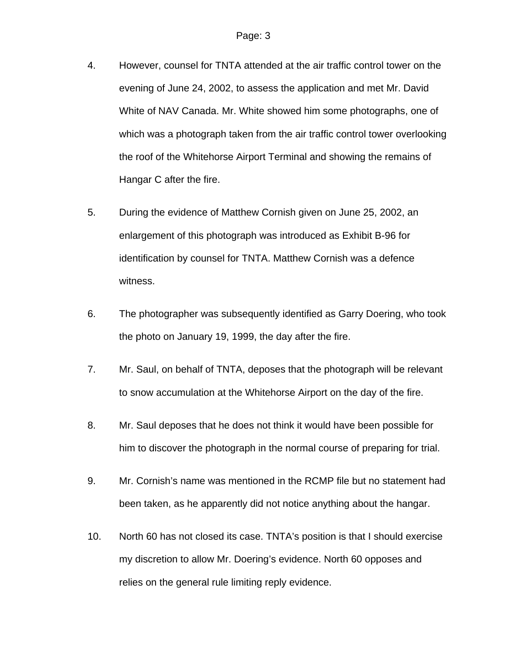- 4. However, counsel for TNTA attended at the air traffic control tower on the evening of June 24, 2002, to assess the application and met Mr. David White of NAV Canada. Mr. White showed him some photographs, one of which was a photograph taken from the air traffic control tower overlooking the roof of the Whitehorse Airport Terminal and showing the remains of Hangar C after the fire.
- 5. During the evidence of Matthew Cornish given on June 25, 2002, an enlargement of this photograph was introduced as Exhibit B-96 for identification by counsel for TNTA. Matthew Cornish was a defence witness.
- 6. The photographer was subsequently identified as Garry Doering, who took the photo on January 19, 1999, the day after the fire.
- 7. Mr. Saul, on behalf of TNTA, deposes that the photograph will be relevant to snow accumulation at the Whitehorse Airport on the day of the fire.
- 8. Mr. Saul deposes that he does not think it would have been possible for him to discover the photograph in the normal course of preparing for trial.
- 9. Mr. Cornish's name was mentioned in the RCMP file but no statement had been taken, as he apparently did not notice anything about the hangar.
- 10. North 60 has not closed its case. TNTA's position is that I should exercise my discretion to allow Mr. Doering's evidence. North 60 opposes and relies on the general rule limiting reply evidence.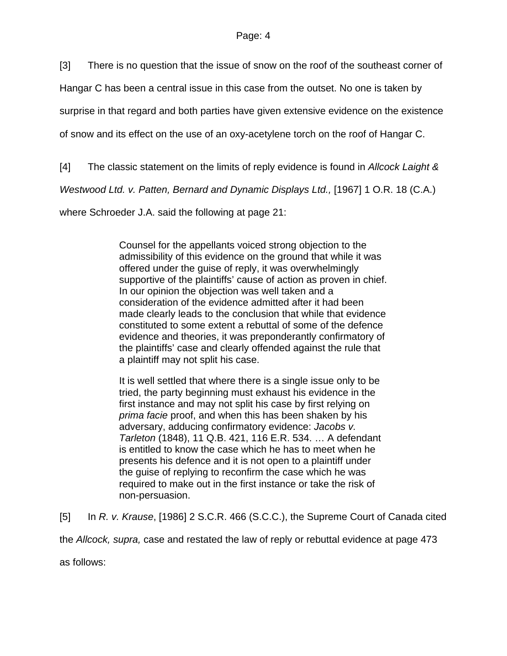[3] There is no question that the issue of snow on the roof of the southeast corner of

Hangar C has been a central issue in this case from the outset. No one is taken by

surprise in that regard and both parties have given extensive evidence on the existence

of snow and its effect on the use of an oxy-acetylene torch on the roof of Hangar C.

[4] The classic statement on the limits of reply evidence is found in *Allcock Laight &* 

*Westwood Ltd. v. Patten, Bernard and Dynamic Displays Ltd.,* [1967] 1 O.R. 18 (C.A.)

where Schroeder J.A. said the following at page 21:

Counsel for the appellants voiced strong objection to the admissibility of this evidence on the ground that while it was offered under the guise of reply, it was overwhelmingly supportive of the plaintiffs' cause of action as proven in chief. In our opinion the objection was well taken and a consideration of the evidence admitted after it had been made clearly leads to the conclusion that while that evidence constituted to some extent a rebuttal of some of the defence evidence and theories, it was preponderantly confirmatory of the plaintiffs' case and clearly offended against the rule that a plaintiff may not split his case.

It is well settled that where there is a single issue only to be tried, the party beginning must exhaust his evidence in the first instance and may not split his case by first relying on *prima facie* proof, and when this has been shaken by his adversary, adducing confirmatory evidence: *Jacobs v. Tarleton* (1848), 11 Q.B. 421, 116 E.R. 534. … A defendant is entitled to know the case which he has to meet when he presents his defence and it is not open to a plaintiff under the guise of replying to reconfirm the case which he was required to make out in the first instance or take the risk of non-persuasion.

[5] In *R. v. Krause*, [1986] 2 S.C.R. 466 (S.C.C.), the Supreme Court of Canada cited the *Allcock, supra,* case and restated the law of reply or rebuttal evidence at page 473

as follows: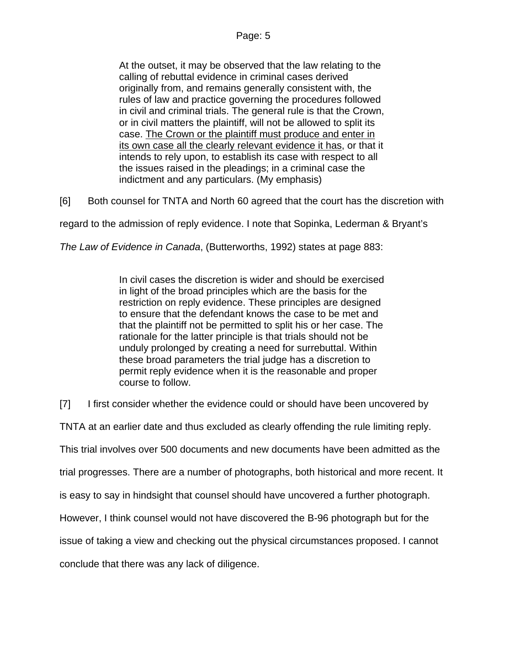At the outset, it may be observed that the law relating to the calling of rebuttal evidence in criminal cases derived originally from, and remains generally consistent with, the rules of law and practice governing the procedures followed in civil and criminal trials. The general rule is that the Crown, or in civil matters the plaintiff, will not be allowed to split its case. The Crown or the plaintiff must produce and enter in its own case all the clearly relevant evidence it has, or that it intends to rely upon, to establish its case with respect to all the issues raised in the pleadings; in a criminal case the indictment and any particulars. (My emphasis)

[6] Both counsel for TNTA and North 60 agreed that the court has the discretion with

regard to the admission of reply evidence. I note that Sopinka, Lederman & Bryant's

*The Law of Evidence in Canada*, (Butterworths, 1992) states at page 883:

In civil cases the discretion is wider and should be exercised in light of the broad principles which are the basis for the restriction on reply evidence. These principles are designed to ensure that the defendant knows the case to be met and that the plaintiff not be permitted to split his or her case. The rationale for the latter principle is that trials should not be unduly prolonged by creating a need for surrebuttal. Within these broad parameters the trial judge has a discretion to permit reply evidence when it is the reasonable and proper course to follow.

[7] I first consider whether the evidence could or should have been uncovered by

TNTA at an earlier date and thus excluded as clearly offending the rule limiting reply.

This trial involves over 500 documents and new documents have been admitted as the

trial progresses. There are a number of photographs, both historical and more recent. It

is easy to say in hindsight that counsel should have uncovered a further photograph.

However, I think counsel would not have discovered the B-96 photograph but for the

issue of taking a view and checking out the physical circumstances proposed. I cannot

conclude that there was any lack of diligence.